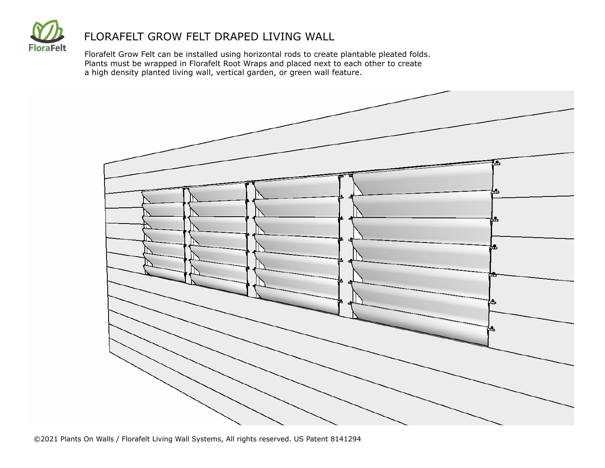

Florafelt Grow Felt can be installed using horizontal rods to create plantable pleated folds. Plants must be wrapped in Florafelt Root Wraps and placed next to each other to create a high density planted living wall, vertical garden, or green wall feature.

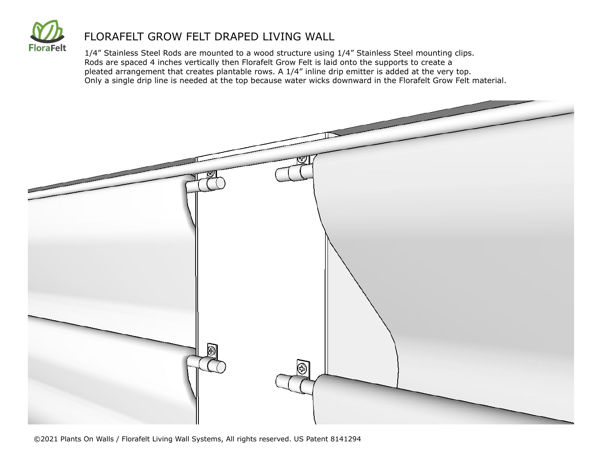

1/4" Stainless Steel Rods are mounted to a wood structure using 1/4" Stainless Steel mounting clips. Rods are spaced 4 inches vertically then Florafelt Grow Felt is laid onto the supports to create a pleated arrangement that creates plantable rows. A 1/4" inline drip emitter is added at the very top. Only a single drip line is needed at the top because water wicks downward in the Florafelt Grow Felt material.



©2021 Plants On Walls / Florafelt Living Wall Systems, All rights reserved. US Patent 8141294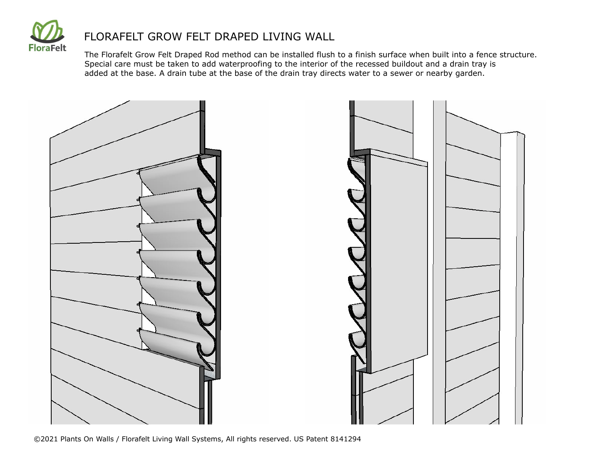

The Florafelt Grow Felt Draped Rod method can be installed flush to a finish surface when built into a fence structure. Special care must be taken to add waterproofing to the interior of the recessed buildout and a drain tray is added at the base. A drain tube at the base of the drain tray directs water to a sewer or nearby garden.



©2021 Plants On Walls / Florafelt Living Wall Systems, All rights reserved. US Patent 8141294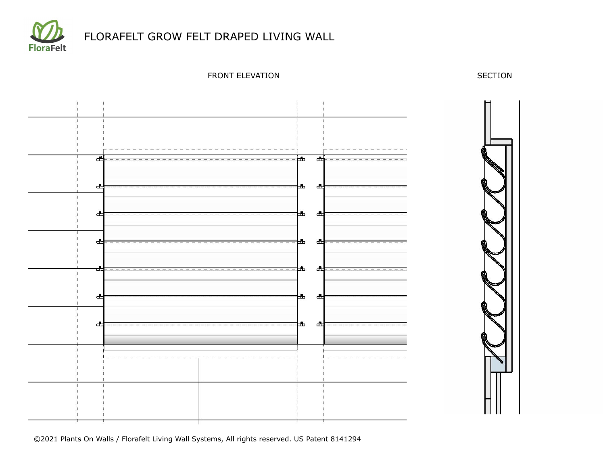

FRONT ELEVATION SECTION



©2021 Plants On Walls / Florafelt Living Wall Systems, All rights reserved. US Patent 8141294